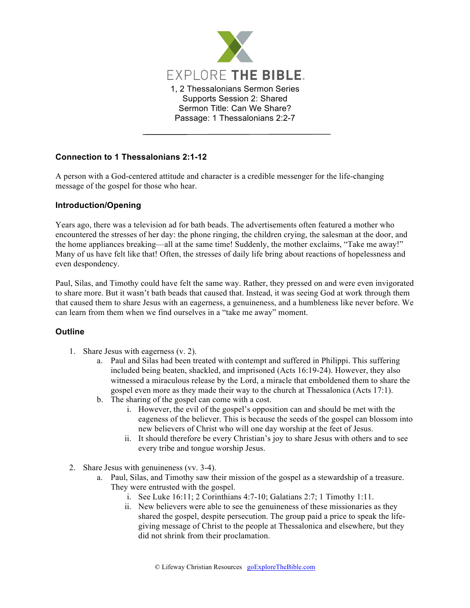

## **Connection to 1 Thessalonians 2:1-12**

A person with a God-centered attitude and character is a credible messenger for the life-changing message of the gospel for those who hear.

## **Introduction/Opening**

Years ago, there was a television ad for bath beads. The advertisements often featured a mother who encountered the stresses of her day: the phone ringing, the children crying, the salesman at the door, and the home appliances breaking—all at the same time! Suddenly, the mother exclaims, "Take me away!" Many of us have felt like that! Often, the stresses of daily life bring about reactions of hopelessness and even despondency.

Paul, Silas, and Timothy could have felt the same way. Rather, they pressed on and were even invigorated to share more. But it wasn't bath beads that caused that. Instead, it was seeing God at work through them that caused them to share Jesus with an eagerness, a genuineness, and a humbleness like never before. We can learn from them when we find ourselves in a "take me away" moment.

## **Outline**

- 1. Share Jesus with eagerness (v. 2).
	- a. Paul and Silas had been treated with contempt and suffered in Philippi. This suffering included being beaten, shackled, and imprisoned (Acts 16:19-24). However, they also witnessed a miraculous release by the Lord, a miracle that emboldened them to share the gospel even more as they made their way to the church at Thessalonica (Acts 17:1).
	- b. The sharing of the gospel can come with a cost.
		- i. However, the evil of the gospel's opposition can and should be met with the eageness of the believer. This is because the seeds of the gospel can blossom into new believers of Christ who will one day worship at the feet of Jesus.
		- ii. It should therefore be every Christian's joy to share Jesus with others and to see every tribe and tongue worship Jesus.
- 2. Share Jesus with genuineness (vv. 3-4).
	- a. Paul, Silas, and Timothy saw their mission of the gospel as a stewardship of a treasure. They were entrusted with the gospel.
		- i. See Luke 16:11; 2 Corinthians 4:7-10; Galatians 2:7; 1 Timothy 1:11.
		- ii. New believers were able to see the genuineness of these missionaries as they shared the gospel, despite persecution. The group paid a price to speak the lifegiving message of Christ to the people at Thessalonica and elsewhere, but they did not shrink from their proclamation.